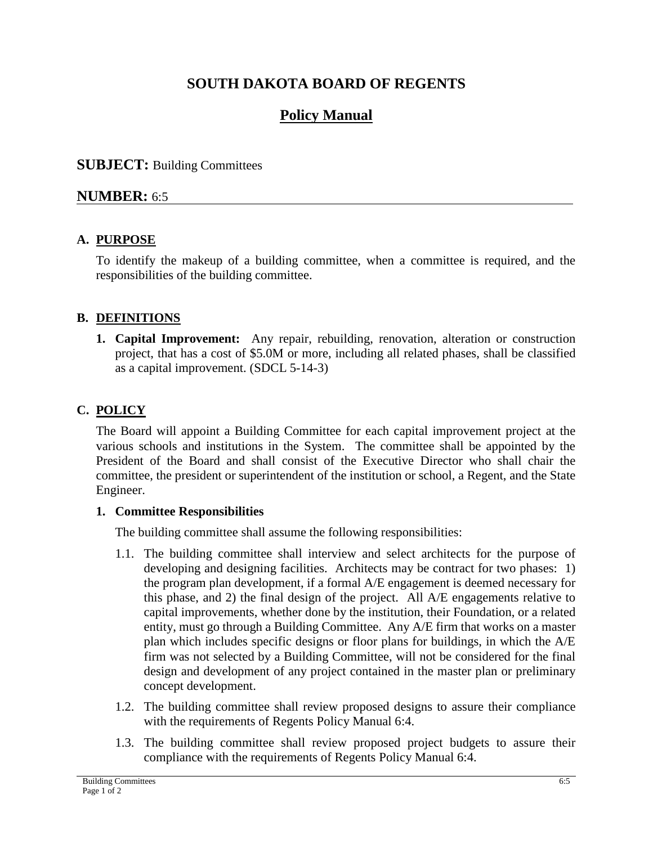# **SOUTH DAKOTA BOARD OF REGENTS**

# **Policy Manual**

### **SUBJECT:** Building Committees

### **NUMBER:** 6:5

#### **A. PURPOSE**

To identify the makeup of a building committee, when a committee is required, and the responsibilities of the building committee.

#### **B. DEFINITIONS**

**1. Capital Improvement:** Any repair, rebuilding, renovation, alteration or construction project, that has a cost of \$5.0M or more, including all related phases, shall be classified as a capital improvement. (SDCL 5-14-3)

## **C. POLICY**

The Board will appoint a Building Committee for each capital improvement project at the various schools and institutions in the System. The committee shall be appointed by the President of the Board and shall consist of the Executive Director who shall chair the committee, the president or superintendent of the institution or school, a Regent, and the State Engineer.

#### **1. Committee Responsibilities**

The building committee shall assume the following responsibilities:

- 1.1. The building committee shall interview and select architects for the purpose of developing and designing facilities. Architects may be contract for two phases: 1) the program plan development, if a formal A/E engagement is deemed necessary for this phase, and 2) the final design of the project. All A/E engagements relative to capital improvements, whether done by the institution, their Foundation, or a related entity, must go through a Building Committee. Any A/E firm that works on a master plan which includes specific designs or floor plans for buildings, in which the A/E firm was not selected by a Building Committee, will not be considered for the final design and development of any project contained in the master plan or preliminary concept development.
- 1.2. The building committee shall review proposed designs to assure their compliance with the requirements of Regents Policy Manual 6:4.
- 1.3. The building committee shall review proposed project budgets to assure their compliance with the requirements of Regents Policy Manual 6:4.